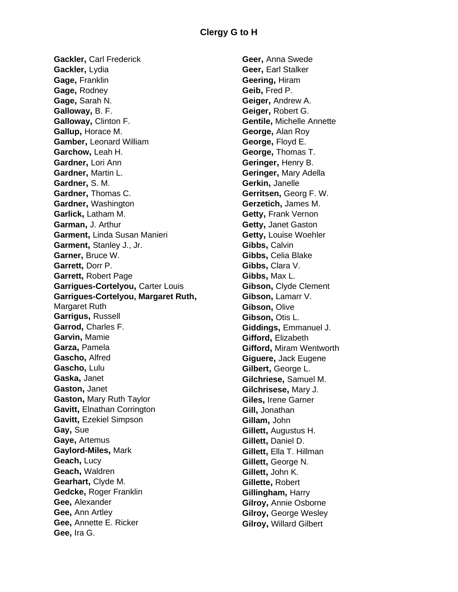**Gackler,** Carl Frederick **Gackler,** Lydia **Gage,** Franklin **Gage,** Rodney **Gage,** Sarah N. **Galloway,** B. F. **Galloway,** Clinton F. **Gallup,** Horace M. **Gamber,** Leonard William **Garchow,** Leah H. **Gardner,** Lori Ann **Gardner,** Martin L. **Gardner,** S. M. **Gardner,** Thomas C. **Gardner,** Washington **Garlick,** Latham M. **Garman,** J. Arthur **Garment,** Linda Susan Manieri **Garment,** Stanley J., Jr. **Garner,** Bruce W. **Garrett,** Dorr P. **Garrett,** Robert Page **Garrigues-Cortelyou,** Carter Louis **Garrigues-Cortelyou, Margaret Ruth,**  Margaret Ruth **Garrigus,** Russell **Garrod,** Charles F. **Garvin,** Mamie **Garza,** Pamela **Gascho,** Alfred **Gascho,** Lulu **Gaska,** Janet **Gaston,** Janet **Gaston,** Mary Ruth Taylor **Gavitt,** Elnathan Corrington **Gavitt,** Ezekiel Simpson **Gay,** Sue **Gaye,** Artemus **Gaylord-Miles,** Mark **Geach,** Lucy **Geach,** Waldren **Gearhart,** Clyde M. **Gedcke,** Roger Franklin **Gee,** Alexander **Gee,** Ann Artley **Gee,** Annette E. Ricker **Gee,** Ira G.

**Geer,** Anna Swede **Geer,** Earl Stalker **Geering,** Hiram **Geib,** Fred P. **Geiger,** Andrew A. **Geiger,** Robert G. **Gentile,** Michelle Annette **George,** Alan Roy **George,** Floyd E. **George,** Thomas T. **Geringer,** Henry B. **Geringer,** Mary Adella **Gerkin,** Janelle **Gerritsen,** Georg F. W. **Gerzetich,** James M. **Getty,** Frank Vernon **Getty,** Janet Gaston **Getty,** Louise Woehler **Gibbs,** Calvin **Gibbs,** Celia Blake **Gibbs,** Clara V. **Gibbs,** Max L. **Gibson,** Clyde Clement **Gibson,** Lamarr V. **Gibson,** Olive **Gibson,** Otis L. **Giddings,** Emmanuel J. **Gifford,** Elizabeth **Gifford,** Miram Wentworth **Giguere,** Jack Eugene **Gilbert,** George L. **Gilchriese,** Samuel M. **Gilchrisese,** Mary J. **Giles,** Irene Garner **Gill,** Jonathan **Gillam,** John **Gillett,** Augustus H. **Gillett,** Daniel D. **Gillett,** Ella T. Hillman **Gillett,** George N. **Gillett,** John K. **Gillette,** Robert **Gillingham,** Harry **Gilroy,** Annie Osborne **Gilroy,** George Wesley **Gilroy,** Willard Gilbert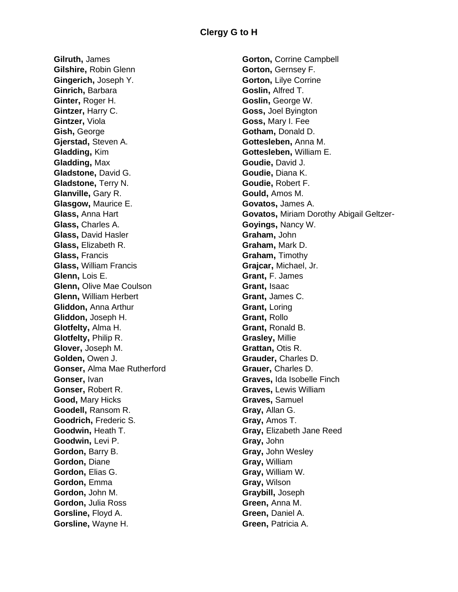**Gilruth,** James **Gilshire,** Robin Glenn **Gingerich,** Joseph Y. **Ginrich,** Barbara **Ginter,** Roger H. **Gintzer,** Harry C. **Gintzer,** Viola **Gish,** George **Gjerstad,** Steven A. **Gladding,** Kim **Gladding,** Max **Gladstone,** David G. **Gladstone,** Terry N. **Glanville,** Gary R. **Glasgow,** Maurice E. **Glass,** Anna Hart **Glass,** Charles A. **Glass,** David Hasler **Glass,** Elizabeth R. **Glass,** Francis **Glass,** William Francis **Glenn,** Lois E. **Glenn,** Olive Mae Coulson **Glenn,** William Herbert **Gliddon,** Anna Arthur **Gliddon,** Joseph H. **Glotfelty,** Alma H. **Glotfelty,** Philip R. **Glover,** Joseph M. **Golden,** Owen J. **Gonser,** Alma Mae Rutherford **Gonser,** Ivan **Gonser,** Robert R. **Good,** Mary Hicks **Goodell,** Ransom R. **Goodrich,** Frederic S. **Goodwin,** Heath T. **Goodwin,** Levi P. **Gordon,** Barry B. **Gordon,** Diane **Gordon,** Elias G. **Gordon,** Emma **Gordon,** John M. **Gordon,** Julia Ross **Gorsline,** Floyd A. **Gorsline,** Wayne H.

**Gorton,** Corrine Campbell **Gorton,** Gernsey F. **Gorton,** Lilye Corrine **Goslin,** Alfred T. **Goslin,** George W. **Goss,** Joel Byington **Goss,** Mary I. Fee **Gotham,** Donald D. **Gottesleben,** Anna M. **Gottesleben,** William E. **Goudie,** David J. **Goudie,** Diana K. **Goudie,** Robert F. **Gould,** Amos M. **Govatos,** James A. **Govatos,** Miriam Dorothy Abigail Geltzer-**Goyings,** Nancy W. **Graham,** John **Graham,** Mark D. **Graham,** Timothy **Grajcar,** Michael, Jr. **Grant,** F. James **Grant,** Isaac **Grant,** James C. **Grant,** Loring **Grant,** Rollo **Grant,** Ronald B. **Grasley,** Millie **Grattan,** Otis R. **Grauder,** Charles D. **Grauer,** Charles D. **Graves,** Ida Isobelle Finch **Graves,** Lewis William **Graves,** Samuel **Gray,** Allan G. **Gray,** Amos T. **Gray,** Elizabeth Jane Reed **Gray,** John **Gray,** John Wesley **Gray,** William **Gray,** William W. **Gray,** Wilson **Graybill,** Joseph **Green,** Anna M. **Green,** Daniel A. **Green,** Patricia A.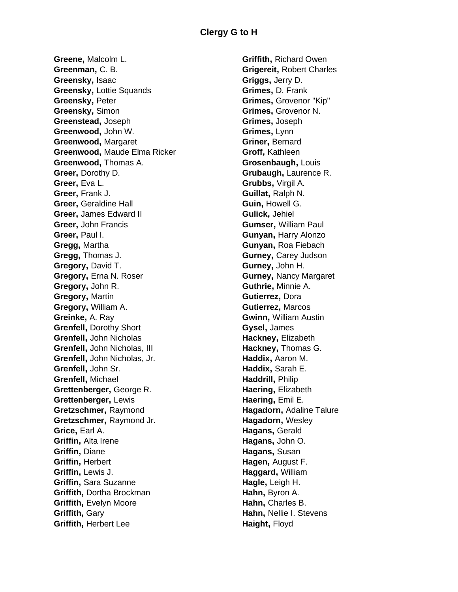**Greene,** Malcolm L. **Greenman,** C. B. **Greensky,** Isaac **Greensky,** Lottie Squands **Greensky,** Peter **Greensky,** Simon **Greenstead,** Joseph **Greenwood,** John W. **Greenwood,** Margaret **Greenwood,** Maude Elma Ricker **Greenwood,** Thomas A. **Greer,** Dorothy D. **Greer,** Eva L. **Greer,** Frank J. **Greer,** Geraldine Hall **Greer,** James Edward II **Greer,** John Francis **Greer,** Paul I. **Gregg,** Martha **Gregg,** Thomas J. **Gregory,** David T. **Gregory,** Erna N. Roser **Gregory,** John R. **Gregory,** Martin **Gregory,** William A. **Greinke,** A. Ray **Grenfell,** Dorothy Short **Grenfell,** John Nicholas **Grenfell,** John Nicholas, III **Grenfell,** John Nicholas, Jr. **Grenfell,** John Sr. **Grenfell,** Michael **Grettenberger,** George R. **Grettenberger,** Lewis **Gretzschmer,** Raymond **Gretzschmer,** Raymond Jr. **Grice,** Earl A. **Griffin,** Alta Irene **Griffin,** Diane **Griffin,** Herbert **Griffin,** Lewis J. **Griffin,** Sara Suzanne **Griffith,** Dortha Brockman **Griffith,** Evelyn Moore **Griffith,** Gary **Griffith,** Herbert Lee

**Griffith,** Richard Owen **Grigereit,** Robert Charles **Griggs,** Jerry D. **Grimes,** D. Frank **Grimes,** Grovenor "Kip" **Grimes,** Grovenor N. **Grimes,** Joseph **Grimes,** Lynn **Griner,** Bernard **Groff,** Kathleen **Grosenbaugh,** Louis **Grubaugh,** Laurence R. **Grubbs,** Virgil A. **Guillat,** Ralph N. **Guin,** Howell G. **Gulick,** Jehiel **Gumser,** William Paul **Gunyan,** Harry Alonzo **Gunyan,** Roa Fiebach **Gurney,** Carey Judson **Gurney,** John H. **Gurney,** Nancy Margaret **Guthrie,** Minnie A. **Gutierrez,** Dora **Gutierrez,** Marcos **Gwinn,** William Austin **Gysel,** James **Hackney,** Elizabeth **Hackney,** Thomas G. **Haddix,** Aaron M. **Haddix,** Sarah E. **Haddrill,** Philip **Haering,** Elizabeth **Haering,** Emil E. **Hagadorn,** Adaline Talure **Hagadorn,** Wesley **Hagans,** Gerald **Hagans,** John O. **Hagans,** Susan **Hagen,** August F. **Haggard,** William **Hagle,** Leigh H. **Hahn,** Byron A. **Hahn,** Charles B. **Hahn,** Nellie I. Stevens **Haight,** Floyd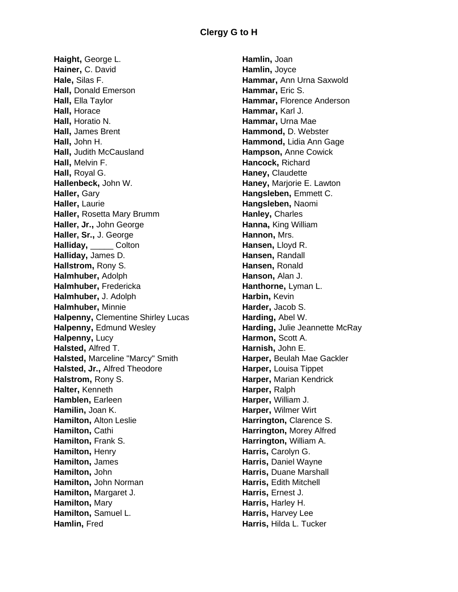**Haight,** George L. **Hainer,** C. David **Hale,** Silas F. **Hall,** Donald Emerson **Hall,** Ella Taylor **Hall,** Horace **Hall,** Horatio N. **Hall,** James Brent **Hall,** John H. **Hall,** Judith McCausland **Hall,** Melvin F. **Hall,** Royal G. **Hallenbeck,** John W. **Haller,** Gary **Haller,** Laurie **Haller,** Rosetta Mary Brumm **Haller, Jr.,** John George **Haller, Sr.,** J. George **Halliday,** \_\_\_\_\_ Colton **Halliday,** James D. **Hallstrom,** Rony S. **Halmhuber,** Adolph **Halmhuber,** Fredericka **Halmhuber,** J. Adolph **Halmhuber,** Minnie **Halpenny,** Clementine Shirley Lucas **Halpenny,** Edmund Wesley **Halpenny,** Lucy **Halsted,** Alfred T. **Halsted,** Marceline "Marcy" Smith **Halsted, Jr.,** Alfred Theodore **Halstrom,** Rony S. **Halter,** Kenneth **Hamblen,** Earleen **Hamilin,** Joan K. **Hamilton,** Alton Leslie **Hamilton,** Cathi **Hamilton,** Frank S. **Hamilton,** Henry **Hamilton,** James **Hamilton,** John **Hamilton,** John Norman **Hamilton,** Margaret J. **Hamilton,** Mary **Hamilton,** Samuel L. **Hamlin,** Fred

**Hamlin,** Joan **Hamlin,** Joyce **Hammar,** Ann Urna Saxwold **Hammar,** Eric S. **Hammar,** Florence Anderson **Hammar,** Karl J. **Hammar,** Urna Mae **Hammond,** D. Webster **Hammond,** Lidia Ann Gage **Hampson,** Anne Cowick **Hancock,** Richard **Haney,** Claudette **Haney,** Marjorie E. Lawton **Hangsleben,** Emmett C. **Hangsleben,** Naomi **Hanley,** Charles **Hanna,** King William **Hannon,** Mrs. **Hansen,** Lloyd R. **Hansen,** Randall **Hansen,** Ronald **Hanson,** Alan J. **Hanthorne,** Lyman L. **Harbin,** Kevin **Harder,** Jacob S. **Harding,** Abel W. **Harding,** Julie Jeannette McRay **Harmon,** Scott A. **Harnish,** John E. **Harper,** Beulah Mae Gackler **Harper,** Louisa Tippet **Harper,** Marian Kendrick **Harper,** Ralph **Harper,** William J. **Harper,** Wilmer Wirt **Harrington,** Clarence S. **Harrington,** Morey Alfred **Harrington,** William A. **Harris,** Carolyn G. **Harris,** Daniel Wayne **Harris,** Duane Marshall **Harris,** Edith Mitchell **Harris,** Ernest J. **Harris**, Harley H. **Harris,** Harvey Lee **Harris,** Hilda L. Tucker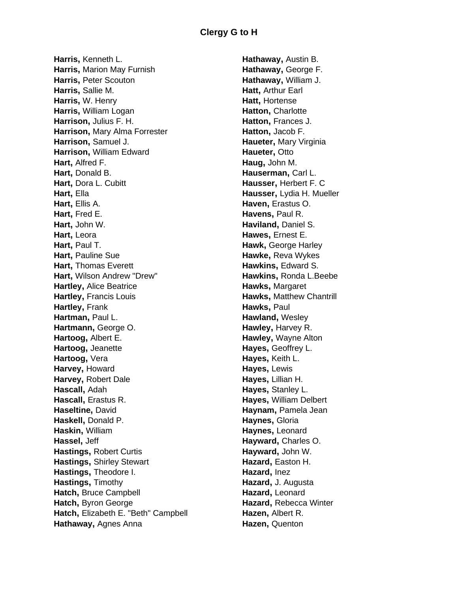**Harris,** Kenneth L. **Harris,** Marion May Furnish **Harris,** Peter Scouton **Harris,** Sallie M. **Harris,** W. Henry **Harris,** William Logan **Harrison,** Julius F. H. **Harrison,** Mary Alma Forrester **Harrison,** Samuel J. **Harrison,** William Edward **Hart,** Alfred F. **Hart,** Donald B. **Hart,** Dora L. Cubitt **Hart,** Ella **Hart,** Ellis A. **Hart,** Fred E. **Hart,** John W. **Hart,** Leora **Hart,** Paul T. **Hart**, Pauline Sue **Hart,** Thomas Everett **Hart,** Wilson Andrew "Drew" **Hartley,** Alice Beatrice **Hartley,** Francis Louis **Hartley,** Frank **Hartman,** Paul L. **Hartmann,** George O. **Hartoog,** Albert E. **Hartoog,** Jeanette **Hartoog,** Vera **Harvey,** Howard **Harvey,** Robert Dale **Hascall,** Adah **Hascall,** Erastus R. **Haseltine,** David **Haskell,** Donald P. **Haskin,** William **Hassel,** Jeff **Hastings,** Robert Curtis **Hastings,** Shirley Stewart **Hastings,** Theodore I. **Hastings,** Timothy **Hatch,** Bruce Campbell **Hatch,** Byron George **Hatch,** Elizabeth E. "Beth" Campbell **Hathaway,** Agnes Anna

**Hathaway,** Austin B. **Hathaway,** George F. **Hathaway,** William J. **Hatt,** Arthur Earl **Hatt,** Hortense **Hatton,** Charlotte **Hatton,** Frances J. **Hatton,** Jacob F. **Haueter,** Mary Virginia **Haueter**, Otto **Haug,** John M. **Hauserman,** Carl L. **Hausser,** Herbert F. C **Hausser,** Lydia H. Mueller **Haven,** Erastus O. **Havens,** Paul R. **Haviland,** Daniel S. **Hawes,** Ernest E. **Hawk,** George Harley **Hawke,** Reva Wykes **Hawkins,** Edward S. **Hawkins,** Ronda L.Beebe **Hawks,** Margaret **Hawks,** Matthew Chantrill **Hawks,** Paul **Hawland,** Wesley **Hawley,** Harvey R. **Hawley,** Wayne Alton **Hayes,** Geoffrey L. **Hayes,** Keith L. **Hayes,** Lewis **Hayes,** Lillian H. **Hayes,** Stanley L. **Hayes,** William Delbert **Haynam,** Pamela Jean **Haynes,** Gloria **Haynes,** Leonard **Hayward,** Charles O. **Hayward,** John W. **Hazard,** Easton H. **Hazard,** Inez **Hazard,** J. Augusta **Hazard,** Leonard **Hazard,** Rebecca Winter **Hazen,** Albert R. **Hazen,** Quenton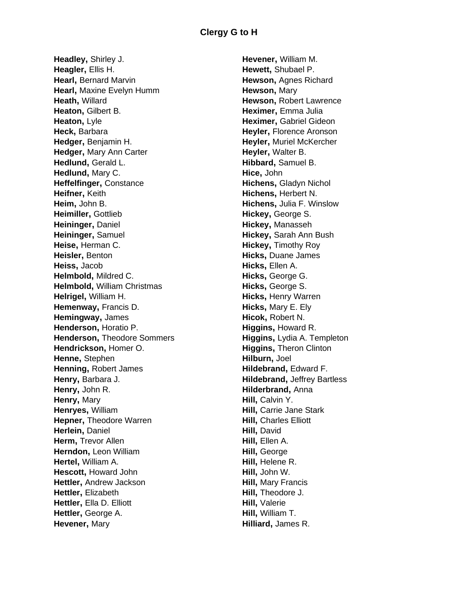**Headley,** Shirley J. **Heagler,** Ellis H. **Hearl, Bernard Marvin Hearl,** Maxine Evelyn Humm **Heath,** Willard **Heaton,** Gilbert B. **Heaton**, Lyle **Heck,** Barbara **Hedger,** Benjamin H. **Hedger,** Mary Ann Carter **Hedlund,** Gerald L. **Hedlund,** Mary C. **Heffelfinger,** Constance **Heifner,** Keith **Heim,** John B. **Heimiller,** Gottlieb **Heininger,** Daniel **Heininger,** Samuel **Heise,** Herman C. **Heisler,** Benton **Heiss,** Jacob **Helmbold,** Mildred C. **Helmbold,** William Christmas **Helrigel,** William H. **Hemenway,** Francis D. **Hemingway,** James **Henderson,** Horatio P. **Henderson,** Theodore Sommers **Hendrickson,** Homer O. **Henne,** Stephen **Henning,** Robert James **Henry,** Barbara J. **Henry,** John R. **Henry,** Mary **Henryes,** William **Hepner,** Theodore Warren **Herlein,** Daniel **Herm, Trevor Allen Herndon,** Leon William **Hertel,** William A. **Hescott,** Howard John **Hettler,** Andrew Jackson **Hettler,** Elizabeth **Hettler,** Ella D. Elliott **Hettler,** George A. **Hevener,** Mary

**Hevener,** William M. **Hewett,** Shubael P. **Hewson,** Agnes Richard **Hewson,** Mary **Hewson,** Robert Lawrence **Heximer,** Emma Julia **Heximer,** Gabriel Gideon **Heyler,** Florence Aronson **Heyler,** Muriel McKercher **Heyler,** Walter B. **Hibbard,** Samuel B. **Hice,** John **Hichens,** Gladyn Nichol **Hichens,** Herbert N. **Hichens,** Julia F. Winslow **Hickey,** George S. **Hickey,** Manasseh **Hickey,** Sarah Ann Bush **Hickey,** Timothy Roy **Hicks,** Duane James **Hicks,** Ellen A. **Hicks,** George G. **Hicks,** George S. **Hicks,** Henry Warren **Hicks,** Mary E. Ely **Hicok,** Robert N. **Higgins,** Howard R. **Higgins,** Lydia A. Templeton **Higgins,** Theron Clinton **Hilburn,** Joel **Hildebrand,** Edward F. **Hildebrand,** Jeffrey Bartless **Hilderbrand,** Anna **Hill**, Calvin Y. **Hill,** Carrie Jane Stark **Hill,** Charles Elliott **Hill,** David **Hill,** Ellen A. **Hill,** George **Hill,** Helene R. **Hill,** John W. **Hill,** Mary Francis **Hill,** Theodore J. **Hill,** Valerie **Hill,** William T. **Hilliard,** James R.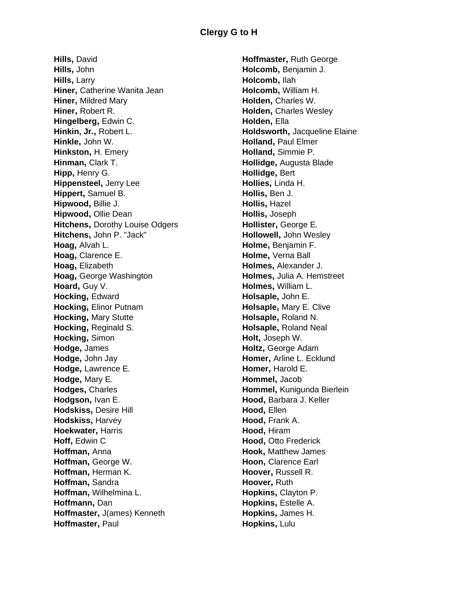**Hills,** David **Hills,** John **Hills,** Larry **Hiner,** Catherine Wanita Jean **Hiner,** Mildred Mary **Hiner,** Robert R. **Hingelberg,** Edwin C. **Hinkin, Jr.,** Robert L. **Hinkle,** John W. **Hinkston,** H. Emery **Hinman,** Clark T. **Hipp,** Henry G. **Hippensteel,** Jerry Lee **Hippert,** Samuel B. **Hipwood,** Billie J. **Hipwood,** Ollie Dean **Hitchens,** Dorothy Louise Odgers **Hitchens,** John P. "Jack" **Hoag,** Alvah L. **Hoag,** Clarence E. **Hoag,** Elizabeth **Hoag,** George Washington **Hoard**, Guy V. **Hocking,** Edward **Hocking,** Elinor Putnam **Hocking,** Mary Stutte **Hocking,** Reginald S. **Hocking,** Simon **Hodge,** James **Hodge,** John Jay **Hodge,** Lawrence E. **Hodge,** Mary E. **Hodges,** Charles **Hodgson,** Ivan E. **Hodskiss,** Desire Hill **Hodskiss,** Harvey **Hoekwater,** Harris **Hoff,** Edwin C **Hoffman,** Anna **Hoffman,** George W. **Hoffman,** Herman K. **Hoffman,** Sandra **Hoffman,** Wilhelmina L. **Hoffmann,** Dan **Hoffmaster,** J(ames) Kenneth **Hoffmaster,** Paul

**Hoffmaster,** Ruth George **Holcomb,** Benjamin J. **Holcomb,** Ilah **Holcomb,** William H. **Holden,** Charles W. **Holden,** Charles Wesley **Holden,** Ella **Holdsworth,** Jacqueline Elaine **Holland,** Paul Elmer **Holland,** Simmie P. **Hollidge,** Augusta Blade **Hollidge,** Bert **Hollies,** Linda H. **Hollis,** Ben J. **Hollis,** Hazel **Hollis,** Joseph **Hollister,** George E. **Hollowell,** John Wesley **Holme,** Benjamin F. **Holme,** Verna Ball **Holmes,** Alexander J. **Holmes,** Julia A. Hemstreet **Holmes,** William L. **Holsaple,** John E. **Holsaple,** Mary E. Clive **Holsaple,** Roland N. **Holsaple,** Roland Neal **Holt,** Joseph W. **Holtz,** George Adam **Homer,** Arline L. Ecklund **Homer,** Harold E. **Hommel,** Jacob **Hommel,** Kunigunda Bierlein **Hood,** Barbara J. Keller **Hood,** Ellen **Hood,** Frank A. **Hood,** Hiram **Hood,** Otto Frederick **Hook,** Matthew James **Hoon,** Clarence Earl **Hoover,** Russell R. **Hoover,** Ruth **Hopkins,** Clayton P. **Hopkins,** Estelle A. **Hopkins,** James H. **Hopkins,** Lulu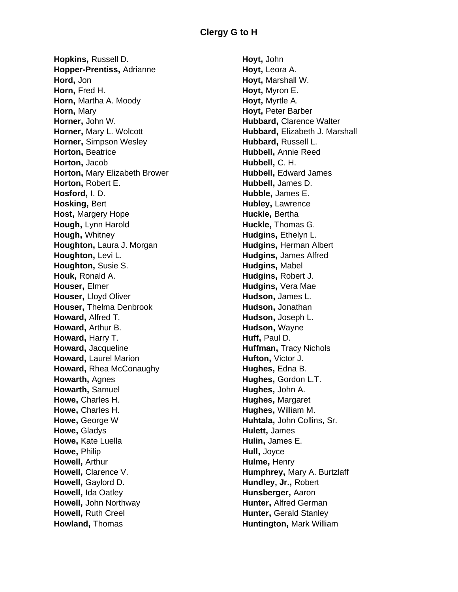**Hopkins,** Russell D. **Hopper-Prentiss,** Adrianne **Hord,** Jon **Horn,** Fred H. **Horn,** Martha A. Moody **Horn,** Mary **Horner,** John W. **Horner,** Mary L. Wolcott **Horner,** Simpson Wesley **Horton,** Beatrice **Horton,** Jacob **Horton,** Mary Elizabeth Brower **Horton,** Robert E. **Hosford,** I. D. **Hosking,** Bert **Host,** Margery Hope **Hough,** Lynn Harold **Hough,** Whitney **Houghton,** Laura J. Morgan **Houghton,** Levi L. **Houghton,** Susie S. **Houk,** Ronald A. **Houser,** Elmer **Houser,** Lloyd Oliver **Houser,** Thelma Denbrook **Howard,** Alfred T. **Howard,** Arthur B. **Howard,** Harry T. **Howard,** Jacqueline **Howard,** Laurel Marion **Howard,** Rhea McConaughy **Howarth,** Agnes **Howarth,** Samuel **Howe,** Charles H. **Howe,** Charles H. **Howe,** George W **Howe,** Gladys **Howe,** Kate Luella **Howe,** Philip **Howell,** Arthur **Howell**, Clarence V. **Howell,** Gaylord D. **Howell,** Ida Oatley **Howell,** John Northway **Howell,** Ruth Creel **Howland,** Thomas

**Hoyt,** John **Hoyt,** Leora A. **Hoyt,** Marshall W. **Hoyt,** Myron E. **Hoyt,** Myrtle A. **Hoyt,** Peter Barber **Hubbard,** Clarence Walter **Hubbard,** Elizabeth J. Marshall **Hubbard,** Russell L. **Hubbell,** Annie Reed **Hubbell,** C. H. **Hubbell**, Edward James **Hubbell,** James D. **Hubble,** James E. **Hubley,** Lawrence **Huckle,** Bertha **Huckle,** Thomas G. **Hudgins**, Ethelyn L. **Hudgins,** Herman Albert **Hudgins,** James Alfred **Hudgins,** Mabel **Hudgins,** Robert J. **Hudgins,** Vera Mae **Hudson,** James L. **Hudson,** Jonathan **Hudson,** Joseph L. **Hudson,** Wayne **Huff,** Paul D. **Huffman,** Tracy Nichols **Hufton,** Victor J. **Hughes,** Edna B. **Hughes,** Gordon L.T. **Hughes,** John A. **Hughes,** Margaret **Hughes,** William M. **Huhtala,** John Collins, Sr. **Hulett,** James **Hulin,** James E. **Hull,** Joyce **Hulme,** Henry **Humphrey,** Mary A. Burtzlaff **Hundley, Jr.,** Robert **Hunsberger,** Aaron **Hunter,** Alfred German **Hunter, Gerald Stanley Huntington,** Mark William